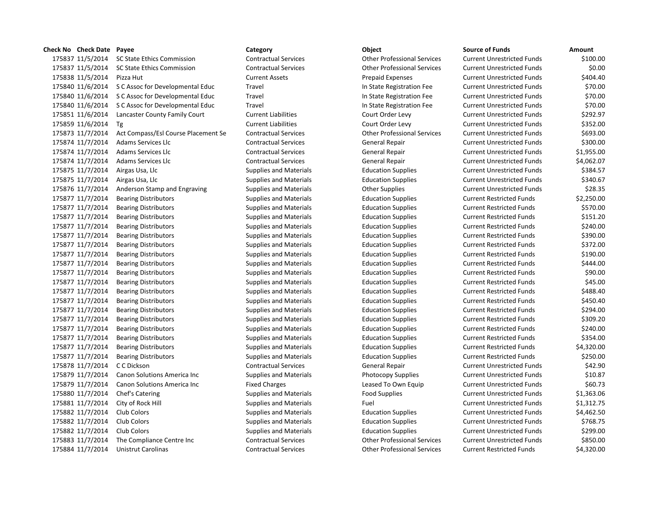## **Check No Check Date Payee Category Object Source of Funds Amount** 11/5/2014 SC State Ethics Commission Contractual Services Other Professional Services Current Unrestricted Funds \$100.00 11/5/2014 SC State Ethics Commission Contractual Services Other Professional Services Current Unrestricted Funds \$0.00 11/5/2014 Pizza Hut Current Assets Prepaid Expenses Current Unrestricted Funds \$404.40 11/6/2014 S C Assoc for Developmental Educ Travel In State Registration Fee Current Unrestricted Funds \$70.00 11/6/2014 S C Assoc for Developmental Educ Travel In State Registration Fee Current Unrestricted Funds \$70.00 11/6/2014 S C Assoc for Developmental Educ Travel In State Registration Fee Current Unrestricted Funds \$70.00 11/6/2014 Lancaster County Family Court Current Liabilities Court Order Levy Current Unrestricted Funds \$292.97 11/6/2014 Tg Current Liabilities Court Order Levy Current Unrestricted Funds \$352.00 11/7/2014 Act Compass/Esl Course Placement Se Contractual Services Other Professional Services Current Unrestricted Funds \$693.00 11/7/2014 Adams Services Llc Contractual Services General Repair Current Unrestricted Funds \$300.00 11/7/2014 Adams Services Llc Contractual Services General Repair Current Unrestricted Funds \$1,955.00 11/7/2014 Adams Services Llc Contractual Services General Repair Current Unrestricted Funds \$4,062.07 11/7/2014 Airgas Usa, Llc Supplies and Materials Education Supplies Current Unrestricted Funds \$384.57 175875 11/7/2014 Airgas Usa, Llc Supplies and Materials Education Supplies Current Unrestricted Funds \$340.67 175876 11/7/2014 Anderson Stamp and Engraving Supplies and Materials Current Unrestricted Funds 528.35 11/7/2014 Bearing Distributors Supplies and Materials Education Supplies Current Restricted Funds \$2,250.00 11/7/2014 Bearing Distributors Supplies and Materials Education Supplies Current Restricted Funds \$570.00 11/7/2014 Bearing Distributors Supplies and Materials Education Supplies Current Restricted Funds \$151.20 11/7/2014 Bearing Distributors Supplies and Materials Education Supplies Current Restricted Funds \$240.00 11/7/2014 Bearing Distributors Supplies and Materials Education Supplies Current Restricted Funds \$390.00 11/7/2014 Bearing Distributors Supplies and Materials Education Supplies Current Restricted Funds \$372.00 11/7/2014 Bearing Distributors Supplies and Materials Education Supplies Current Restricted Funds \$190.00 175877 11/7/2014 Bearing Distributors Supplies and Materials Education Supplies Current Restricted Funds \$444.00 11/7/2014 Bearing Distributors Supplies and Materials Education Supplies Current Restricted Funds \$90.00 11/7/2014 Bearing Distributors Supplies and Materials Education Supplies Current Restricted Funds \$45.00 175877 11/7/2014 Bearing Distributors Supplies and Materials Education Supplies Current Restricted Funds \$488.40 11/7/2014 Bearing Distributors Supplies and Materials Education Supplies Current Restricted Funds \$450.40 11/7/2014 Bearing Distributors Supplies and Materials Education Supplies Current Restricted Funds \$294.00 11/7/2014 Bearing Distributors Supplies and Materials Education Supplies Current Restricted Funds \$309.20 11/7/2014 Bearing Distributors Supplies and Materials Education Supplies Current Restricted Funds \$240.00 175877 11/7/2014 Bearing Distributors Supplies and Materials Education Supplies Current Restricted Funds \$354.00 11/7/2014 Bearing Distributors Supplies and Materials Education Supplies Current Restricted Funds \$4,320.00 11/7/2014 Bearing Distributors Supplies and Materials Education Supplies Current Restricted Funds \$250.00 11/7/2014 C C Dickson Contractual Services General Repair Current Unrestricted Funds \$42.90 175879 11/7/2014 Canon Solutions America Inc Supplies and Materials Photocopy Supplies Current Unrestricted Funds \$10.87 175879 11/7/2014 Canon Solutions America Inc Fixed Charges Leased To Own Equip Current Unrestricted Funds \$60.73 175880 11/7/2014 Chef's Catering The Supplies and Materials Food Supplies Current Unrestricted Funds 51,363.06 11/7/2014 City of Rock Hill Supplies and Materials Fuel Current Unrestricted Funds \$1,312.75 175882 11/7/2014 Club Colors Current Unrestricted Funds Supplies and Materials Education Supplies Current Unrestricted Funds \$4,462.50 175882 11/7/2014 Club Colors Supplies and Materials Education Supplies Current Unrestricted Funds \$768.75 175882 11/7/2014 Club Colors **Supplies and Materials** Education Supplies Current Unrestricted Funds \$299.00 11/7/2014 The Compliance Centre Inc Contractual Services Other Professional Services Current Unrestricted Funds \$850.00 11/7/2014 Unistrut Carolinas Contractual Services Other Professional Services Current Restricted Funds \$4,320.00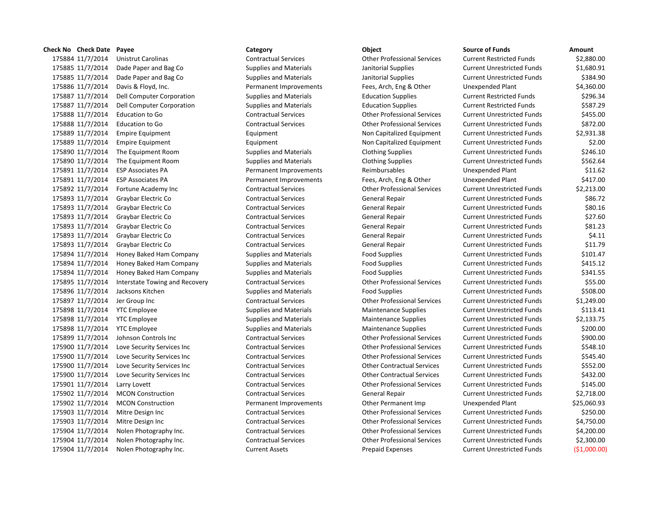# 175884 11/7/2014 Unistrut Carolinas Contractual Services Other Professional Services Current Restricted Funds \$2,880.00 175886 11/7/2014 Davis & Floyd, Inc. Permanent Improvements Fees, Arch, Eng & Other Unexpended Plant & Permanent Improvements 175887 11/7/2014 Dell Computer Corporation Supplies and Materials Education Supplies 175887 11/7/2014 Dell Computer Corporation Supplies and Materials Education Supplies 175888 11/7/2014 Education to Go Contractual Services Other Professional Services 175889 11/7/2014 Empire Equipment Equipment Equipment Equipment Non Capitalized Equipment 175889 11/7/2014 Empire Equipment **Example Equipment** Equipment Non Capitalized Equipment 175891 11/7/2014 ESP Associates PA **Permanent Improvements** Reimbursables 175891 11/7/2014 ESP Associates PA **Permanent Improvements** Fees, Arch, Eng & Other 175892 11/7/2014 Fortune Academy Inc Contractual Services Other Professional Services 175894 11/7/2014 Honey Baked Ham Company Supplies and Materials Food Supplies 175894 11/7/2014 Honey Baked Ham Company Supplies and Materials Food Supplies 175894 11/7/2014 Honey Baked Ham Company Supplies and Materials Food Supplies 175895 11/7/2014 Interstate Towing and Recovery Contractual Services Contractual Services Current Professional Services 175897 11/7/2014 Jer Group Inc **Contractual Services** Contractual Services Current Current Unrestricted Funds & 1, 175898 11/7/2014 YTC Employee Supplies and Materials Maintenance Supplies Current Unrestricted Funds Analysis 175898 11/7/2014 YTC Employee Supplies and Materials Maintenance Supplies Current Unrestricted Funds Analytic 175899 11/7/2014 Johnson Controls Inc Contractual Services Other Professional Services 175900 11/7/2014 Love Security Services Inc Contractual Services Current Current Current Current Unrestricted Funds \$548.100 Current Unrestricted Funds \$548.100 Current Units \$548.100 Current Units \$548.100 Current Units \$ 175900 11/7/2014 Love Security Services Inc Contractual Services Current Current Current Current Unrestricted Funds \$5 175900 11/7/2014 Love Security Services Inc Contractual Services Other Contractual Services Current Unrestricted Funds \$552.00 175900 11/7/2014 Love Security Services Inc Contractual Services Current Contractual Services Current Unrestricted Funds \$432.000 Current Unrestricted Funds \$432.000 Current Units \$432.000 Current Units \$432.000 Current Un 175901 11/7/2014 Larry Lovett Contractual Services Contractual Services Current Current Current Unrestricted Funds \$15.000 Lines & 145.000 Lines & 2016.000 Lines & 2016.000 Lines & 2016.000 Lines & 2016.000 Lines & 2016.00 175902 11/7/2014 MCON Construction **National Permanent Improvements** Other Permanent Imp 175903 11/7/2014 Mitre Design Inc Contractual Services Current Current Current Current Unrestricted Funds & 250 175903 11/7/2014 Mitre Design Inc Contractual Services Other Professional Services 175904 11/7/2014 Nolen Photography Inc. Contractual Services Other Professional Services Current Unrestricted Funds \$4,200.00 175904 11/7/2014 Nolen Photography Inc. Contractual Services Other Professional Services Current Unrestricted Funds \$2,300.00

| Check No Check Date Payee |                                | Category                      | Object                             | <b>Source of Funds</b>            | <b>Amount</b> |
|---------------------------|--------------------------------|-------------------------------|------------------------------------|-----------------------------------|---------------|
| 175884 11/7/2014          | <b>Unistrut Carolinas</b>      | <b>Contractual Services</b>   | <b>Other Professional Services</b> | <b>Current Restricted Funds</b>   | \$2,880.00    |
| 175885 11/7/2014          | Dade Paper and Bag Co          | <b>Supplies and Materials</b> | Janitorial Supplies                | <b>Current Unrestricted Funds</b> | \$1,680.91    |
| 175885 11/7/2014          | Dade Paper and Bag Co          | <b>Supplies and Materials</b> | Janitorial Supplies                | <b>Current Unrestricted Funds</b> | \$384.90      |
| 175886 11/7/2014          | Davis & Floyd, Inc.            | Permanent Improvements        | Fees, Arch, Eng & Other            | Unexpended Plant                  | \$4,360.00    |
| 175887 11/7/2014          | Dell Computer Corporation      | <b>Supplies and Materials</b> | <b>Education Supplies</b>          | <b>Current Restricted Funds</b>   | \$296.34      |
| 175887 11/7/2014          | Dell Computer Corporation      | <b>Supplies and Materials</b> | <b>Education Supplies</b>          | <b>Current Restricted Funds</b>   | \$587.29      |
| 175888 11/7/2014          | <b>Education to Go</b>         | <b>Contractual Services</b>   | <b>Other Professional Services</b> | <b>Current Unrestricted Funds</b> | \$455.00      |
| 175888 11/7/2014          | <b>Education to Go</b>         | <b>Contractual Services</b>   | <b>Other Professional Services</b> | <b>Current Unrestricted Funds</b> | \$872.00      |
| 175889 11/7/2014          | <b>Empire Equipment</b>        | Equipment                     | Non Capitalized Equipment          | <b>Current Unrestricted Funds</b> | \$2,931.38    |
| 175889 11/7/2014          | <b>Empire Equipment</b>        | Equipment                     | Non Capitalized Equipment          | <b>Current Unrestricted Funds</b> | \$2.00        |
| 175890 11/7/2014          | The Equipment Room             | <b>Supplies and Materials</b> | <b>Clothing Supplies</b>           | <b>Current Unrestricted Funds</b> | \$246.10      |
| 175890 11/7/2014          | The Equipment Room             | <b>Supplies and Materials</b> | <b>Clothing Supplies</b>           | <b>Current Unrestricted Funds</b> | \$562.64      |
| 175891 11/7/2014          | <b>ESP Associates PA</b>       | Permanent Improvements        | Reimbursables                      | Unexpended Plant                  | \$11.62       |
| 175891 11/7/2014          | <b>ESP Associates PA</b>       | Permanent Improvements        | Fees, Arch, Eng & Other            | Unexpended Plant                  | \$417.00      |
| 175892 11/7/2014          | Fortune Academy Inc            | <b>Contractual Services</b>   | <b>Other Professional Services</b> | <b>Current Unrestricted Funds</b> | \$2,213.00    |
| 175893 11/7/2014          | Graybar Electric Co            | <b>Contractual Services</b>   | General Repair                     | <b>Current Unrestricted Funds</b> | \$86.72       |
| 175893 11/7/2014          | Graybar Electric Co            | <b>Contractual Services</b>   | General Repair                     | <b>Current Unrestricted Funds</b> | \$80.16       |
| 175893 11/7/2014          | Graybar Electric Co            | <b>Contractual Services</b>   | General Repair                     | <b>Current Unrestricted Funds</b> | \$27.60       |
| 175893 11/7/2014          | Graybar Electric Co            | <b>Contractual Services</b>   | General Repair                     | <b>Current Unrestricted Funds</b> | \$81.23       |
| 175893 11/7/2014          | Graybar Electric Co            | <b>Contractual Services</b>   | General Repair                     | <b>Current Unrestricted Funds</b> | \$4.11        |
| 175893 11/7/2014          | Graybar Electric Co            | <b>Contractual Services</b>   | General Repair                     | <b>Current Unrestricted Funds</b> | \$11.79       |
| 175894 11/7/2014          | Honey Baked Ham Company        | <b>Supplies and Materials</b> | <b>Food Supplies</b>               | <b>Current Unrestricted Funds</b> | \$101.47      |
| 175894 11/7/2014          | Honey Baked Ham Company        | <b>Supplies and Materials</b> | <b>Food Supplies</b>               | <b>Current Unrestricted Funds</b> | \$415.12      |
| 175894 11/7/2014          | Honey Baked Ham Company        | <b>Supplies and Materials</b> | <b>Food Supplies</b>               | <b>Current Unrestricted Funds</b> | \$341.55      |
| 175895 11/7/2014          | Interstate Towing and Recovery | <b>Contractual Services</b>   | <b>Other Professional Services</b> | <b>Current Unrestricted Funds</b> | \$55.00       |
| 175896 11/7/2014          | Jacksons Kitchen               | <b>Supplies and Materials</b> | <b>Food Supplies</b>               | <b>Current Unrestricted Funds</b> | \$508.00      |
| 175897 11/7/2014          | Jer Group Inc                  | <b>Contractual Services</b>   | <b>Other Professional Services</b> | <b>Current Unrestricted Funds</b> | \$1,249.00    |
| 175898 11/7/2014          | <b>YTC Employee</b>            | <b>Supplies and Materials</b> | <b>Maintenance Supplies</b>        | <b>Current Unrestricted Funds</b> | \$113.41      |
| 175898 11/7/2014          | <b>YTC</b> Employee            | <b>Supplies and Materials</b> | <b>Maintenance Supplies</b>        | <b>Current Unrestricted Funds</b> | \$2,133.75    |
| 175898 11/7/2014          | <b>YTC</b> Employee            | <b>Supplies and Materials</b> | <b>Maintenance Supplies</b>        | <b>Current Unrestricted Funds</b> | \$200.00      |
| 175899 11/7/2014          | Johnson Controls Inc           | <b>Contractual Services</b>   | <b>Other Professional Services</b> | <b>Current Unrestricted Funds</b> | \$900.00      |
| 175900 11/7/2014          | Love Security Services Inc     | <b>Contractual Services</b>   | <b>Other Professional Services</b> | <b>Current Unrestricted Funds</b> | \$548.10      |
| 175900 11/7/2014          | Love Security Services Inc     | <b>Contractual Services</b>   | <b>Other Professional Services</b> | <b>Current Unrestricted Funds</b> | \$545.40      |
| 175900 11/7/2014          | Love Security Services Inc     | <b>Contractual Services</b>   | <b>Other Contractual Services</b>  | <b>Current Unrestricted Funds</b> | \$552.00      |
| 175900 11/7/2014          | Love Security Services Inc     | <b>Contractual Services</b>   | <b>Other Contractual Services</b>  | <b>Current Unrestricted Funds</b> | \$432.00      |
| 175901 11/7/2014          | Larry Lovett                   | <b>Contractual Services</b>   | <b>Other Professional Services</b> | <b>Current Unrestricted Funds</b> | \$145.00      |
| 175902 11/7/2014          | <b>MCON Construction</b>       | <b>Contractual Services</b>   | General Repair                     | <b>Current Unrestricted Funds</b> | \$2,718.00    |
| 175902 11/7/2014          | <b>MCON Construction</b>       | Permanent Improvements        | Other Permanent Imp                | Unexpended Plant                  | \$25,060.93   |
| 175903 11/7/2014          | Mitre Design Inc               | <b>Contractual Services</b>   | <b>Other Professional Services</b> | <b>Current Unrestricted Funds</b> | \$250.00      |
| 175903 11/7/2014          | Mitre Design Inc               | <b>Contractual Services</b>   | <b>Other Professional Services</b> | <b>Current Unrestricted Funds</b> | \$4,750.00    |
| 175904 11/7/2014          | Nolen Photography Inc.         | <b>Contractual Services</b>   | <b>Other Professional Services</b> | <b>Current Unrestricted Funds</b> | \$4,200.00    |
| 175904 11/7/2014          | Nolen Photography Inc.         | <b>Contractual Services</b>   | <b>Other Professional Services</b> | <b>Current Unrestricted Funds</b> | \$2,300.00    |
| 175904 11/7/2014          | Nolen Photography Inc.         | <b>Current Assets</b>         | <b>Prepaid Expenses</b>            | <b>Current Unrestricted Funds</b> | (51,000.00)   |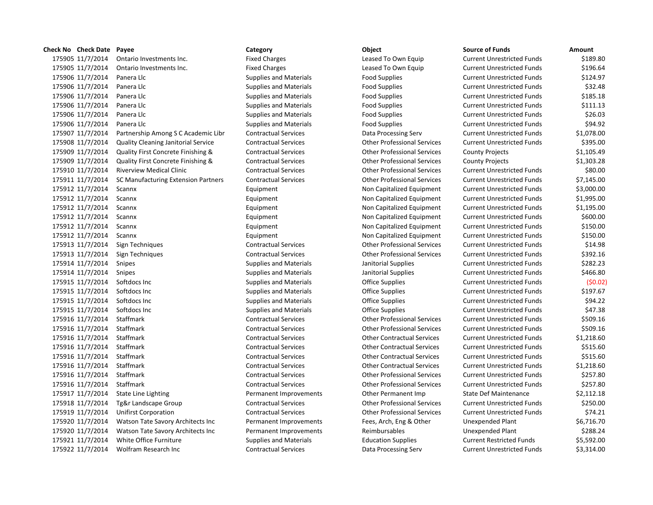| Check No Check Date Payee |                                     | Category                      | Object                             | <b>Source of Funds</b>            | Amount     |
|---------------------------|-------------------------------------|-------------------------------|------------------------------------|-----------------------------------|------------|
| 175905 11/7/2014          | Ontario Investments Inc.            | <b>Fixed Charges</b>          | Leased To Own Equip                | <b>Current Unrestricted Funds</b> | \$189.80   |
| 175905 11/7/2014          | Ontario Investments Inc.            | <b>Fixed Charges</b>          | Leased To Own Equip                | <b>Current Unrestricted Funds</b> | \$196.64   |
| 175906 11/7/2014          | Panera Llc                          | <b>Supplies and Materials</b> | <b>Food Supplies</b>               | <b>Current Unrestricted Funds</b> | \$124.97   |
| 175906 11/7/2014          | Panera Llc                          | <b>Supplies and Materials</b> | <b>Food Supplies</b>               | <b>Current Unrestricted Funds</b> | \$32.48    |
| 175906 11/7/2014          | Panera Llc                          | <b>Supplies and Materials</b> | <b>Food Supplies</b>               | <b>Current Unrestricted Funds</b> | \$185.18   |
| 175906 11/7/2014          | Panera Llc                          | Supplies and Materials        | <b>Food Supplies</b>               | <b>Current Unrestricted Funds</b> | \$111.13   |
| 175906 11/7/2014          | Panera Llc                          | <b>Supplies and Materials</b> | <b>Food Supplies</b>               | <b>Current Unrestricted Funds</b> | \$26.03    |
| 175906 11/7/2014          | Panera Llc                          | <b>Supplies and Materials</b> | <b>Food Supplies</b>               | <b>Current Unrestricted Funds</b> | \$94.92    |
| 175907 11/7/2014          | Partnership Among S C Academic Libr | <b>Contractual Services</b>   | Data Processing Serv               | <b>Current Unrestricted Funds</b> | \$1,078.00 |
| 175908 11/7/2014          | Quality Cleaning Janitorial Service | <b>Contractual Services</b>   | <b>Other Professional Services</b> | <b>Current Unrestricted Funds</b> | \$395.00   |
| 175909 11/7/2014          | Quality First Concrete Finishing &  | <b>Contractual Services</b>   | <b>Other Professional Services</b> | <b>County Projects</b>            | \$1,105.49 |
| 175909 11/7/2014          | Quality First Concrete Finishing &  | <b>Contractual Services</b>   | <b>Other Professional Services</b> | <b>County Projects</b>            | \$1,303.28 |
| 175910 11/7/2014          | <b>Riverview Medical Clinic</b>     | <b>Contractual Services</b>   | <b>Other Professional Services</b> | <b>Current Unrestricted Funds</b> | \$80.00    |
| 175911 11/7/2014          | SC Manufacturing Extension Partners | <b>Contractual Services</b>   | <b>Other Professional Services</b> | <b>Current Unrestricted Funds</b> | \$7,145.00 |
| 175912 11/7/2014          | Scannx                              | Equipment                     | Non Capitalized Equipment          | <b>Current Unrestricted Funds</b> | \$3,000.00 |
| 175912 11/7/2014          | Scannx                              | Equipment                     | Non Capitalized Equipment          | <b>Current Unrestricted Funds</b> | \$1,995.00 |
| 175912 11/7/2014          | Scannx                              | Equipment                     | Non Capitalized Equipment          | <b>Current Unrestricted Funds</b> | \$1,195.00 |
| 175912 11/7/2014          | Scannx                              | Equipment                     | Non Capitalized Equipment          | <b>Current Unrestricted Funds</b> | \$600.00   |
| 175912 11/7/2014          | Scannx                              | Equipment                     | Non Capitalized Equipment          | <b>Current Unrestricted Funds</b> | \$150.00   |
| 175912 11/7/2014          | Scannx                              | Equipment                     | Non Capitalized Equipment          | <b>Current Unrestricted Funds</b> | \$150.00   |
| 175913 11/7/2014          | Sign Techniques                     | <b>Contractual Services</b>   | <b>Other Professional Services</b> | <b>Current Unrestricted Funds</b> | \$14.98    |
| 175913 11/7/2014          | Sign Techniques                     | <b>Contractual Services</b>   | <b>Other Professional Services</b> | <b>Current Unrestricted Funds</b> | \$392.16   |
| 175914 11/7/2014          | Snipes                              | Supplies and Materials        | Janitorial Supplies                | <b>Current Unrestricted Funds</b> | \$282.23   |
| 175914 11/7/2014          | Snipes                              | <b>Supplies and Materials</b> | Janitorial Supplies                | <b>Current Unrestricted Funds</b> | \$466.80   |
| 175915 11/7/2014          | Softdocs Inc                        | <b>Supplies and Materials</b> | <b>Office Supplies</b>             | <b>Current Unrestricted Funds</b> | (50.02)    |
| 175915 11/7/2014          | Softdocs Inc                        | <b>Supplies and Materials</b> | <b>Office Supplies</b>             | <b>Current Unrestricted Funds</b> | \$197.67   |
| 175915 11/7/2014          | Softdocs Inc                        | <b>Supplies and Materials</b> | <b>Office Supplies</b>             | <b>Current Unrestricted Funds</b> | \$94.22    |
| 175915 11/7/2014          | Softdocs Inc                        | Supplies and Materials        | <b>Office Supplies</b>             | <b>Current Unrestricted Funds</b> | \$47.38    |
| 175916 11/7/2014          | Staffmark                           | <b>Contractual Services</b>   | <b>Other Professional Services</b> | <b>Current Unrestricted Funds</b> | \$509.16   |
| 175916 11/7/2014          | Staffmark                           | <b>Contractual Services</b>   | <b>Other Professional Services</b> | <b>Current Unrestricted Funds</b> | \$509.16   |
| 175916 11/7/2014          | Staffmark                           | <b>Contractual Services</b>   | <b>Other Contractual Services</b>  | <b>Current Unrestricted Funds</b> | \$1,218.60 |
| 175916 11/7/2014          | Staffmark                           | <b>Contractual Services</b>   | <b>Other Contractual Services</b>  | <b>Current Unrestricted Funds</b> | \$515.60   |
| 175916 11/7/2014          | Staffmark                           | <b>Contractual Services</b>   | <b>Other Contractual Services</b>  | <b>Current Unrestricted Funds</b> | \$515.60   |
| 175916 11/7/2014          | Staffmark                           | <b>Contractual Services</b>   | <b>Other Contractual Services</b>  | <b>Current Unrestricted Funds</b> | \$1,218.60 |
| 175916 11/7/2014          | Staffmark                           | <b>Contractual Services</b>   | <b>Other Professional Services</b> | <b>Current Unrestricted Funds</b> | \$257.80   |
| 175916 11/7/2014          | Staffmark                           | <b>Contractual Services</b>   | <b>Other Professional Services</b> | <b>Current Unrestricted Funds</b> | \$257.80   |
| 175917 11/7/2014          | State Line Lighting                 | Permanent Improvements        | Other Permanent Imp                | <b>State Def Maintenance</b>      | \$2,112.18 |
| 175918 11/7/2014          | Tg&r Landscape Group                | <b>Contractual Services</b>   | <b>Other Professional Services</b> | <b>Current Unrestricted Funds</b> | \$250.00   |
| 175919 11/7/2014          | <b>Unifirst Corporation</b>         | <b>Contractual Services</b>   | <b>Other Professional Services</b> | <b>Current Unrestricted Funds</b> | \$74.21    |
| 175920 11/7/2014          | Watson Tate Savory Architects Inc   | Permanent Improvements        | Fees, Arch, Eng & Other            | Unexpended Plant                  | \$6,716.70 |
| 175920 11/7/2014          | Watson Tate Savory Architects Inc   | Permanent Improvements        | Reimbursables                      | Unexpended Plant                  | \$288.24   |
| 175921 11/7/2014          | White Office Furniture              | <b>Supplies and Materials</b> | <b>Education Supplies</b>          | <b>Current Restricted Funds</b>   | \$5,592.00 |
| 175922 11/7/2014          | Wolfram Research Inc                | <b>Contractual Services</b>   | Data Processing Serv               | <b>Current Unrestricted Funds</b> | \$3,314.00 |
|                           |                                     |                               |                                    |                                   |            |

# 11/7/2014 Ontario Investments Inc. Fixed Charges Leased To Own Equip Current Unrestricted Funds \$189.80 11/7/2014 Ontario Investments Inc. Fixed Charges Leased To Own Equip Current Unrestricted Funds \$196.64 11/7/2014 Panera Llc Supplies and Materials Food Supplies Current Unrestricted Funds \$124.97 11/7/2014 Panera Llc Supplies and Materials Food Supplies Current Unrestricted Funds \$32.48 11/7/2014 Panera Llc Supplies and Materials Food Supplies Current Unrestricted Funds \$185.18 Supplies and Materials **1759** Food Supplies **Food Supplies** Current Unrestricted Funds **5111.13**  11/7/2014 Panera Llc Supplies and Materials Food Supplies Current Unrestricted Funds \$26.03 11/7/2014 Panera Llc Supplies and Materials Food Supplies Current Unrestricted Funds \$94.92 11/7/2014 Quality Cleaning Janitorial Service Contractual Services Other Professional Services Current Unrestricted Funds \$395.00 11/7/2014 Quality First Concrete Finishing & Contractual Services Other Professional Services County Projects \$1,303.28 11/7/2014 Riverview Medical Clinic Contractual Services Other Professional Services Current Unrestricted Funds \$80.00 11591 111/2014 Contractual Services Conters Conter Professional Services Current Unrestricted Funds \$7,145.00 11/7/2014 Scannx Equipment Non Capitalized Equipment Current Unrestricted Funds \$3,000.00 Equipment 175995.00 11/7/2014 Scannx Equipment Non Capitalized Equipment Current Unrestricted Funds \$1,195.00 11/7/2014 Scannx Equipment Non Capitalized Equipment Current Unrestricted Funds \$600.00 11/7/2014 Scannx Equipment Non Capitalized Equipment Current Unrestricted Funds \$150.00 11/7/2014 Scannx Equipment Non Capitalized Equipment Current Unrestricted Funds \$150.00 11/7/2014 Sign Techniques Contractual Services Other Professional Services Current Unrestricted Funds \$14.98 11/7/2014 Sign Techniques Contractual Services Other Professional Services Current Unrestricted Funds \$392.16 11/7/2014 Snipes Supplies and Materials Janitorial Supplies Current Unrestricted Funds \$282.23 11/7/2014 Snipes Supplies and Materials Janitorial Supplies Current Unrestricted Funds \$466.80 11/7/2014 Softdocs Inc Supplies and Materials Office Supplies Current Unrestricted Funds (\$0.02) 11/7/2014 Softdocs Inc Supplies and Materials Office Supplies Current Unrestricted Funds \$197.67 11/7/2014 Softdocs Inc Supplies and Materials Office Supplies Current Unrestricted Funds \$94.22 11/7/2014 Softdocs Inc Supplies and Materials Office Supplies Current Unrestricted Funds \$47.38 11/7/2014 Staffmark Contractual Services Other Professional Services Current Unrestricted Funds \$509.16 11/7/2014 Staffmark Contractual Services Other Professional Services Current Unrestricted Funds \$509.16 11/7/2014 Staffmark Contractual Services Other Contractual Services Current Unrestricted Funds \$1,218.60 11/7/2014 Staffmark Contractual Services Other Contractual Services Current Unrestricted Funds \$515.60 11/7/2014 Staffmark Contractual Services Other Contractual Services Current Unrestricted Funds \$515.60 11/7/2014 Staffmark Contractual Services Other Contractual Services Current Unrestricted Funds \$1,218.60 11/7/2014 Staffmark Contractual Services Other Professional Services Current Unrestricted Funds \$257.80 11/7/2014 Staffmark Contractual Services Other Professional Services Current Unrestricted Funds \$257.80 Permanent Improvements **Same Commanent Imp** State Def Maintenance 52,112.18 11/7/2014 Tg&r Landscape Group Contractual Services Other Professional Services Current Unrestricted Funds \$250.00 11/7/2014 Unifirst Corporation Contractual Services Other Professional Services Current Unrestricted Funds \$74.21 Permanent Improvements Fees, Arch, Eng & Other Unexpended Plant \$6,716.70 17928.24 11/2015 17/2014 Permanent Improvements Reimbursables Companies Unexpended Plant 11/7/2014 White Office Furniture Supplies and Materials Education Supplies Current Restricted Funds \$5,592.00 17592 17592 17592 17592 Lontractual Services Current Unrestricted Funds \$3,314.00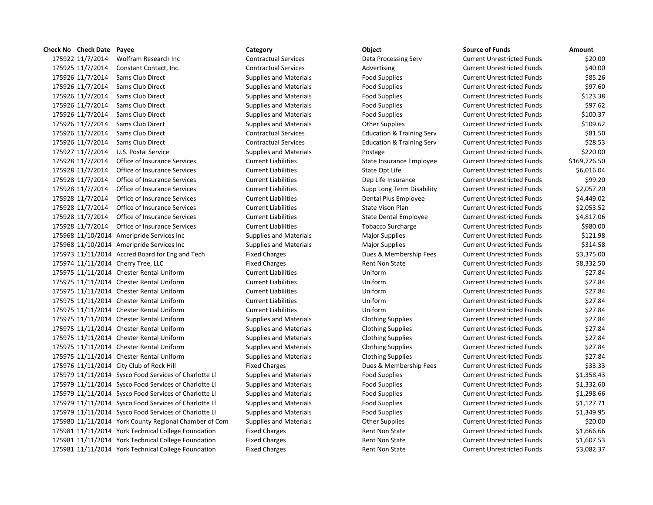175925 11/7/2014 Constant Contact, Inc. Contractual Services Advertising Current Unrestricted Funds \$40.00 175926 11/7/2014 Sams Club Direct Supplies and Materials Food Supplies Food Supplies Current Unrestricted Funds \$85.26 175926 11/7/2014 Sams Club Direct Supplies and Materials Food Supplies Food Supplies Current Unrestricted Funds \$97.60 11/7/2014 Sams Club Direct Supplies and Materials Food Supplies Current Unrestricted Funds \$123.38 11/7/2014 Sams Club Direct Supplies and Materials Food Supplies Current Unrestricted Funds \$97.62 11/7/2014 Sams Club Direct Supplies and Materials Food Supplies Current Unrestricted Funds \$100.37 11/7/2014 Sams Club Direct Supplies and Materials Other Supplies Current Unrestricted Funds \$109.62 11/7/2014 Sams Club Direct Contractual Services Education & Training Serv Current Unrestricted Funds \$81.50 11/7/2014 Sams Club Direct Contractual Services Education & Training Serv Current Unrestricted Funds \$28.53 11/7/2014 U.S. Postal Service Supplies and Materials Postage Current Unrestricted Funds \$220.00 11/7/2014 Office of Insurance Services Current Liabilities State Insurance Employee Current Unrestricted Funds \$169,726.50 11/7/2014 Office of Insurance Services Current Liabilities State Opt Life Current Unrestricted Funds \$6,016.04 11/7/2014 Office of Insurance Services Current Liabilities Dep Life Insurance Current Unrestricted Funds \$99.20 11/7/2014 Office of Insurance Services Current Liabilities Supp Long Term Disability Current Unrestricted Funds \$2,057.20 11/7/2014 Office of Insurance Services Current Liabilities Dental Plus Employee Current Unrestricted Funds \$4,449.02 11/7/2014 Office of Insurance Services Current Liabilities State Vison Plan Current Unrestricted Funds \$2,053.52 11/7/2014 Office of Insurance Services Current Liabilities State Dental Employee Current Unrestricted Funds \$4,817.06 175928 11/7/2014 Office of Insurance Services Current Liabilities Current Liabilities Tobacco Surcharge Current Unrestricted Funds \$980.00 11/10/2014 Ameripride Services Inc Supplies and Materials Major Supplies Current Unrestricted Funds \$121.98 175968 11/10/2014 Ameripride Services Inc Supplies and Materials Major Supplies Current Unrestricted Funds \$314.58 11/11/2014 Accred Board for Eng and Tech Fixed Charges Dues & Membership Fees Current Unrestricted Funds \$3,375.00 175974 11/11/2014 Cherry Tree, LLC **Fixed Charges** Fixed Charges Rent Non State Current Unrestricted Funds \$8,332.50 11/11/2014 Chester Rental Uniform Current Liabilities Uniform Current Unrestricted Funds \$27.84 11/11/2014 Chester Rental Uniform Current Liabilities Uniform Current Unrestricted Funds \$27.84 11/11/2014 Chester Rental Uniform Current Liabilities Uniform Current Unrestricted Funds \$27.84 11/11/2014 Chester Rental Uniform Current Liabilities Uniform Current Unrestricted Funds \$27.84 11/11/2014 Chester Rental Uniform Current Liabilities Uniform Current Unrestricted Funds \$27.84 11/11/2014 Chester Rental Uniform Supplies and Materials Clothing Supplies Current Unrestricted Funds \$27.84 11/11/2014 Chester Rental Uniform Supplies and Materials Clothing Supplies Current Unrestricted Funds \$27.84 11/11/2014 Chester Rental Uniform Supplies and Materials Clothing Supplies Current Unrestricted Funds \$27.84 11/11/2014 Chester Rental Uniform Supplies and Materials Clothing Supplies Current Unrestricted Funds \$27.84 11/11/2014 Chester Rental Uniform Supplies and Materials Clothing Supplies Current Unrestricted Funds \$27.84 175976 11/11/2014 City Club of Rock Hill Fixed Charges Fixed Charges Dues & Membership Fees Current Unrestricted Funds \$33.33 11/11/2014 Sysco Food Services of Charlotte Ll Supplies and Materials Food Supplies Current Unrestricted Funds \$1,358.43 11/11/2014 Sysco Food Services of Charlotte Ll Supplies and Materials Food Supplies Current Unrestricted Funds \$1,332.60 11/11/2014 Sysco Food Services of Charlotte Ll Supplies and Materials Food Supplies Current Unrestricted Funds \$1,298.66 11/11/2014 Sysco Food Services of Charlotte Ll Supplies and Materials Food Supplies Current Unrestricted Funds \$1,127.71 11/11/2014 Sysco Food Services of Charlotte Ll Supplies and Materials Food Supplies Current Unrestricted Funds \$1,349.95 11/11/2014 York County Regional Chamber of Com Supplies and Materials Other Supplies Current Unrestricted Funds \$20.00 11/11/2014 York Technical College Foundation Fixed Charges Rent Non State Current Unrestricted Funds \$1,666.66 11/11/2014 York Technical College Foundation Fixed Charges Rent Non State Current Unrestricted Funds \$1,607.53

**Check No Check Date Payee Category Object Source of Funds Amount** 11/7/2014 Wolfram Research Inc Contractual Services Data Processing Serv Current Unrestricted Funds \$20.00 11/11/2014 York Technical College Foundation Fixed Charges Rent Non State Current Unrestricted Funds \$3,082.37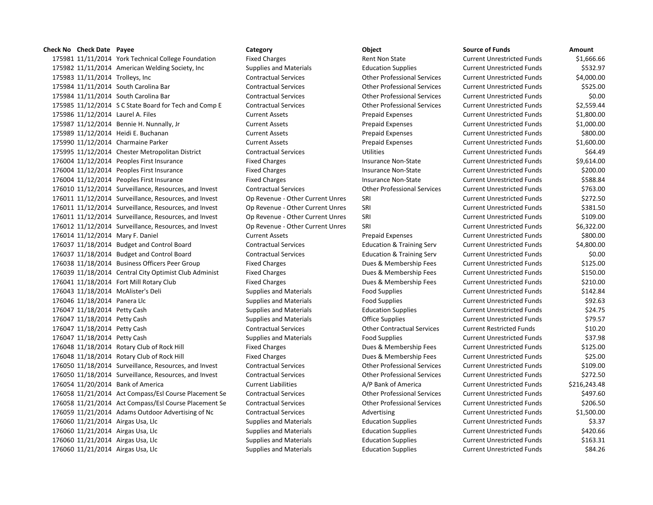### **Check No Check Date Payee Category Object Source of Funds Amount**

 11/11/2014 York Technical College Foundation Fixed Charges Rent Non State Current Unrestricted Funds \$1,666.66 175982 11/11/2014 American Welding Society, Inc Supplies and Materials Education Supplies Current Unrestricted Funds \$532.97 11/11/2014 Trolleys, Inc Contractual Services Other Professional Services Current Unrestricted Funds \$4,000.00 11/11/2014 South Carolina Bar Contractual Services Other Professional Services Current Unrestricted Funds \$525.00 11/11/2014 South Carolina Bar Contractual Services Other Professional Services Current Unrestricted Funds \$0.00 11/12/2014 S C State Board for Tech and Comp E Contractual Services Other Professional Services Current Unrestricted Funds \$2,559.44 11/12/2014 Laurel A. Files Current Assets Prepaid Expenses Current Unrestricted Funds \$1,800.00 11/12/2014 Bennie H. Nunnally, Jr Current Assets Prepaid Expenses Current Unrestricted Funds \$1,000.00 11/12/2014 Heidi E. Buchanan Current Assets Prepaid Expenses Current Unrestricted Funds \$800.00 11/12/2014 Charmaine Parker Current Assets Prepaid Expenses Current Unrestricted Funds \$1,600.00 11/12/2014 Chester Metropolitan District Contractual Services Utilities Current Unrestricted Funds \$64.49 176004 11/12/2014 Peoples First Insurance **Insurance Fixed Charges** Insurance Non-State Current Unrestricted Funds \$9,614.00 11/12/2014 Peoples First Insurance Fixed Charges Insurance Non-State Current Unrestricted Funds \$200.00 176004 11/12/2014 Peoples First Insurance The Fixed Charges Current Unrestricted Funds Fass.84 11/12/2014 Surveillance, Resources, and Invest Contractual Services Other Professional Services Current Unrestricted Funds \$763.00 11/12/2014 Surveillance, Resources, and Invest Op Revenue - Other Current Unres SRI Current Unrestricted Funds \$272.50 11/12/2014 Surveillance, Resources, and Invest Op Revenue - Other Current Unres SRI Current Unrestricted Funds \$381.50 11/12/2014 Surveillance, Resources, and Invest Op Revenue - Other Current Unres SRI Current Unrestricted Funds \$109.00 11/12/2014 Surveillance, Resources, and Invest Op Revenue - Other Current Unres SRI Current Unrestricted Funds \$6,322.00 11/12/2014 Mary F. Daniel Current Assets Prepaid Expenses Current Unrestricted Funds \$800.00 11/18/2014 Budget and Control Board Contractual Services Education & Training Serv Current Unrestricted Funds \$4,800.00 11/18/2014 Budget and Control Board Contractual Services Education & Training Serv Current Unrestricted Funds \$0.00 11/18/2014 Business Officers Peer Group Fixed Charges Dues & Membership Fees Current Unrestricted Funds \$125.00 11/18/2014 Central City Optimist Club Administ Fixed Charges Dues & Membership Fees Current Unrestricted Funds \$150.00 11/18/2014 Fort Mill Rotary Club Fixed Charges Dues & Membership Fees Current Unrestricted Funds \$210.00 11/18/2014 McAlister's Deli Supplies and Materials Food Supplies Current Unrestricted Funds \$142.84 11/18/2014 Panera Llc Supplies and Materials Food Supplies Current Unrestricted Funds \$92.63 11/18/2014 Petty Cash Supplies and Materials Education Supplies Current Unrestricted Funds \$24.75 11/18/2014 Petty Cash Supplies and Materials Office Supplies Current Unrestricted Funds \$79.57 11/18/2014 Petty Cash Contractual Services Other Contractual Services Current Restricted Funds \$10.20 11/18/2014 Petty Cash Supplies and Materials Food Supplies Current Unrestricted Funds \$37.98 11/18/2014 Rotary Club of Rock Hill Fixed Charges Dues & Membership Fees Current Unrestricted Funds \$125.00 11/18/2014 Rotary Club of Rock Hill Fixed Charges Dues & Membership Fees Current Unrestricted Funds \$25.00 11/18/2014 Surveillance, Resources, and Invest Contractual Services Other Professional Services Current Unrestricted Funds \$109.00 11/18/2014 Surveillance, Resources, and Invest Contractual Services Other Professional Services Current Unrestricted Funds \$272.50 11/20/2014 Bank of America Current Liabilities A/P Bank of America Current Unrestricted Funds \$216,243.48 11/21/2014 Act Compass/Esl Course Placement Se Contractual Services Other Professional Services Current Unrestricted Funds \$497.60 11/21/2014 Act Compass/Esl Course Placement Se Contractual Services Other Professional Services Current Unrestricted Funds \$206.50 11/21/2014 Adams Outdoor Advertising of Nc Contractual Services Advertising Current Unrestricted Funds \$1,500.00 176060 11/21/2014 Airgas Usa, Llc Supplies and Materials Education Supplies Current Unrestricted Funds \$3.37 11/21/2014 Airgas Usa, Llc Supplies and Materials Education Supplies Current Unrestricted Funds \$420.66 176060 11/21/2014 Airgas Usa, Llc Supplies and Materials Education Supplies Current Unrestricted Funds \$163.31 11/21/2014 Airgas Usa, Llc Supplies and Materials Education Supplies Current Unrestricted Funds \$84.26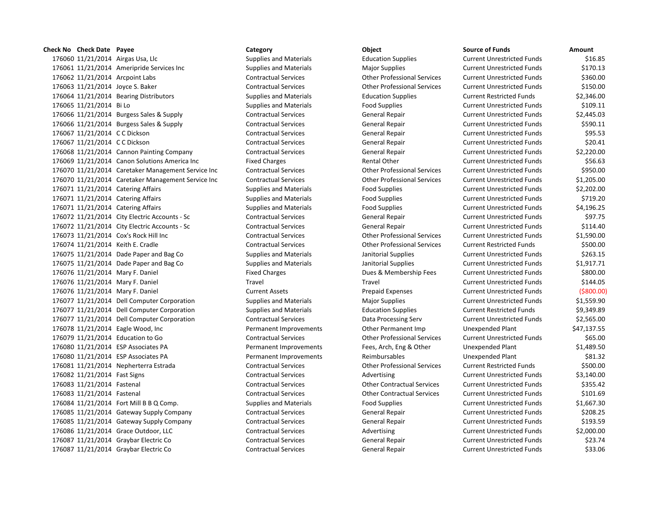176060 11/21/2014 Airgas Usa, Llc Supplies and Materials Education Supplies Current Unrestricted Funds \$16.85 11/21/2014 Ameripride Services Inc Supplies and Materials Major Supplies Current Unrestricted Funds \$170.13 11/21/2014 Arcpoint Labs Contractual Services Other Professional Services Current Unrestricted Funds \$360.00 11/21/2014 Joyce S. Baker Contractual Services Other Professional Services Current Unrestricted Funds \$150.00 11/21/2014 Bearing Distributors Supplies and Materials Education Supplies Current Restricted Funds \$2,346.00 11/21/2014 Bi Lo Supplies and Materials Food Supplies Current Unrestricted Funds \$109.11 11/21/2014 Burgess Sales & Supply Contractual Services General Repair Current Unrestricted Funds \$2,445.03 11/21/2014 Burgess Sales & Supply Contractual Services General Repair Current Unrestricted Funds \$590.11 11/21/2014 C C Dickson Contractual Services General Repair Current Unrestricted Funds \$95.53 11/21/2014 C C Dickson Contractual Services General Repair Current Unrestricted Funds \$20.41 11/21/2014 Cannon Painting Company Contractual Services General Repair Current Unrestricted Funds \$2,220.00 176069 11/21/2014 Canon Solutions America Inc Fixed Charges Rental Other Rental Other Current Unrestricted Funds \$56.63 11/21/2014 Caretaker Management Service Inc Contractual Services Other Professional Services Current Unrestricted Funds \$950.00 11/21/2014 Caretaker Management Service Inc Contractual Services Other Professional Services Current Unrestricted Funds \$1,205.00 176071 11/21/2014 Catering Affairs Supplies and Materials Food Supplies Current Unrestricted Funds \$2,202.00 176071 11/21/2014 Catering Affairs Supplies and Materials Food Supplies Current Unrestricted Funds \$719.20 176071 11/21/2014 Catering Affairs Supplies and Materials Food Supplies Food Supplies Current Unrestricted Funds \$4,196.25 11/21/2014 City Electric Accounts - Sc Contractual Services General Repair Current Unrestricted Funds \$97.75 11/21/2014 City Electric Accounts - Sc Contractual Services General Repair Current Unrestricted Funds \$114.40 11/21/2014 Cox's Rock Hill Inc Contractual Services Other Professional Services Current Unrestricted Funds \$1,590.00 11/21/2014 Keith E. Cradle Contractual Services Other Professional Services Current Restricted Funds \$500.00 11/21/2014 Dade Paper and Bag Co Supplies and Materials Janitorial Supplies Current Unrestricted Funds \$263.15 11/21/2014 Dade Paper and Bag Co Supplies and Materials Janitorial Supplies Current Unrestricted Funds \$1,917.71 176076 11/21/2014 Mary F. Daniel **Fixed Charges** Fixed Charges Dues & Membership Fees Current Unrestricted Funds \$800.00 11/21/2014 Mary F. Daniel Travel Travel Current Unrestricted Funds \$144.05 11/21/2014 Mary F. Daniel Current Assets Prepaid Expenses Current Unrestricted Funds (\$800.00) 11/21/2014 Dell Computer Corporation Supplies and Materials Major Supplies Current Unrestricted Funds \$1,559.90 11/21/2014 Dell Computer Corporation Supplies and Materials Education Supplies Current Restricted Funds \$9,349.89 11/21/2014 Dell Computer Corporation Contractual Services Data Processing Serv Current Unrestricted Funds \$2,565.00 11/21/2014 Eagle Wood, Inc Permanent Improvements Other Permanent Imp Unexpended Plant \$47,137.55 11/21/2014 Education to Go Contractual Services Other Professional Services Current Unrestricted Funds \$65.00 11/21/2014 ESP Associates PA Permanent Improvements Fees, Arch, Eng & Other Unexpended Plant \$1,489.50 11/21/2014 ESP Associates PA Permanent Improvements Reimbursables Unexpended Plant \$81.32 11/21/2014 Nepherterra Estrada Contractual Services Other Professional Services Current Restricted Funds \$500.00 11/21/2014 Fast Signs Contractual Services Advertising Current Unrestricted Funds \$3,140.00 11/21/2014 Fastenal Contractual Services Other Contractual Services Current Unrestricted Funds \$355.42 11/21/2014 Fastenal Contractual Services Other Contractual Services Current Unrestricted Funds \$101.69 11/21/2014 Fort Mill B B Q Comp. Supplies and Materials Food Supplies Current Unrestricted Funds \$1,667.30 11/21/2014 Gateway Supply Company Contractual Services General Repair Current Unrestricted Funds \$208.25 11/21/2014 Gateway Supply Company Contractual Services General Repair Current Unrestricted Funds \$193.59 176086 11/21/2014 Grace Outdoor, LLC Contractual Services Advertising Current Unrestricted Funds \$2,000.00 11/21/2014 Graybar Electric Co Contractual Services General Repair Current Unrestricted Funds \$23.74 11/21/2014 Graybar Electric Co Contractual Services General Repair Current Unrestricted Funds \$33.06

**Check No Check Date Payee Category Object Source of Funds Amount**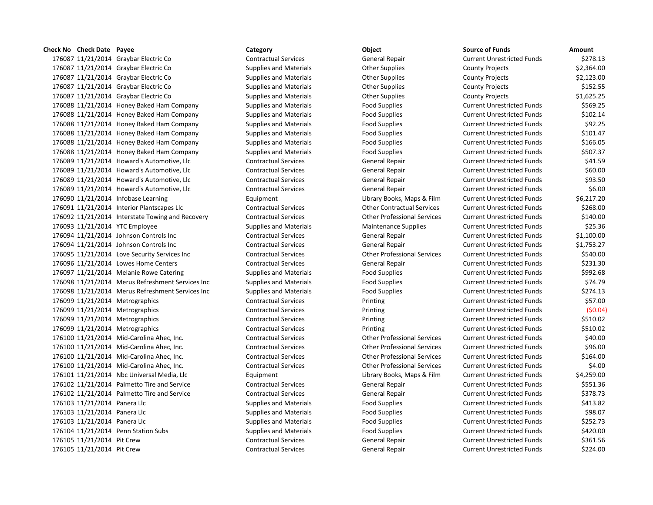### **Check No Check Date Payee Category Category Object**

176087 11/21/2014 Graybar Electric Co Contractual Services General Repair 176087 11/21/2014 Graybar Electric Co Supplies and Materials Complies County Projects & County Projects & 2,36 176087 11/21/2014 Graybar Electric Co Supplies and Materials County Projects Active 20ther Supplies **2006** 176087 11/21/2014 Graybar Electric Co Supplies and Materials Computer Supplies County Projects & The Supplies 176087 11/21/2014 Graybar Electric Co Supplies and Materials Complies County Projects & County Projects & Coun 176088 11/21/2014 Honey Baked Ham Company Supplies and Materials Food Supplies 176088 11/21/2014 Honey Baked Ham Company Supplies and Materials Food Supplies 176088 11/21/2014 Honey Baked Ham Company Supplies and Materials Food Supplies Food Supplies 176088 11/21/2014 Honey Baked Ham Company Supplies and Materials Food Supplies Food Supplies 176088 11/21/2014 Honey Baked Ham Company Supplies and Materials Food Supplies Food Supplies 176088 11/21/2014 Honey Baked Ham Company Supplies and Materials Food Supplies Food Supplies 176089 11/21/2014 Howard's Automotive, Llc Contractual Services General Repair 176089 11/21/2014 Howard's Automotive, Llc Contractual Services General Repair 176089 11/21/2014 Howard's Automotive, Llc Contractual Services General Repair 176089 11/21/2014 Howard's Automotive, Llc Contractual Services General Repair 176090 11/21/2014 Infobase Learning The Equipment Equipment Library Books, Maps & Film 176091 11/21/2014 Interior Plantscapes Llc Contractual Services Other Contractual Services Current Unrestricted Funds \$268.000 Current Unrestricted Funds \$268.000 Current Units \$268.000 Current Units \$268.000 Current Burre 176092 11/21/2014 Interstate Towing and Recovery Contractual Services Contractual Services Current Professional Services 176093 11/21/2014 YTC Employee Supplies and Materials Maintenance Supplies Current Unrestricted Funds & Maintenance Supplies 176094 11/21/2014 Johnson Controls Inc Contractual Services General Repair 176094 11/21/2014 Johnson Controls Inc Contractual Services General Repair 176095 11/21/2014 Love Security Services Inc Contractual Services Current Current Current Current Unrestricted Funds \$5 176096 11/21/2014 Lowes Home Centers Contractual Services General Repair 176097 11/21/2014 Melanie Rowe Catering Supplies and Materials Food Supplies 176098 11/21/2014 Merus Refreshment Services Inc Supplies and Materials Food Supplies 176098 11/21/2014 Merus Refreshment Services Inc Supplies and Materials Food Supplies 176099 11/21/2014 Metrographics Contractual Services Printing Current Unrestricted Funds & Funds & Funds & Te 176099 11/21/2014 Metrographics Contractual Services Printing Current Unrestricted Funds (\$0.04) 176099 11/21/2014 Metrographics Contractual Services Printing Current Unrestricted Funds & Funds & Funds & Te 176099 11/21/2014 Metrographics Contractual Services Printing Current Unrestricted Funds & Funds & Funds & Te 176100 11/21/2014 Mid-Carolina Ahec, Inc. Contractual Services Other Professional Services 176100 11/21/2014 Mid-Carolina Ahec, Inc. Contractual Services Other Professional Services 176100 11/21/2014 Mid-Carolina Ahec, Inc. Contractual Services Current Unrestricted Funds & Current Unrestrict 176100 11/21/2014 Mid-Carolina Ahec, Inc. Contractual Services Current Unrestricted Funds \$4.000 11/21/2014 Mid-Carolina Ahec, Inc. 176101 11/21/2014 Nbc Universal Media, Llc Equipment Equipment Library Books, Maps & Film 176102 11/21/2014 Palmetto Tire and Service Contractual Services General Repair 176102 11/21/2014 Palmetto Tire and Service Contractual Services General Repair 176103 11/21/2014 Panera Llc Supplies and Materials Food Supplies Current Publishing Funds & Food Supplies and 176103 11/21/2014 Panera Llc Supplies and Materials Food Supplies Current Publishing Funds & Food Supplies and Materials 176103 11/21/2014 Panera Llc Supplies and Materials Food Supplies Current Publishing Funds & Tool Supplies and Materials 176104 11/21/2014 Penn Station Subs Supplies and Materials Food Supplies Current Publishing Funds & 420.00000 176105 11/21/2014 Pit Crew Contractual Services General Repair 176105 11/21/2014 Pit Crew Contractual Services General Repair

| <b>Source of Funds</b>            | Amount     |
|-----------------------------------|------------|
| <b>Current Unrestricted Funds</b> | \$278.13   |
| <b>County Projects</b>            | \$2,364.00 |
| <b>County Projects</b>            | \$2,123.00 |
| <b>County Projects</b>            | \$152.55   |
| <b>County Projects</b>            | \$1,625.25 |
| <b>Current Unrestricted Funds</b> | \$569.25   |
| <b>Current Unrestricted Funds</b> | \$102.14   |
| <b>Current Unrestricted Funds</b> | \$92.25    |
| <b>Current Unrestricted Funds</b> | \$101.47   |
| <b>Current Unrestricted Funds</b> | \$166.05   |
| <b>Current Unrestricted Funds</b> | \$507.37   |
| <b>Current Unrestricted Funds</b> | \$41.59    |
| <b>Current Unrestricted Funds</b> | \$60.00    |
| <b>Current Unrestricted Funds</b> | \$93.50    |
| <b>Current Unrestricted Funds</b> | \$6.00     |
| <b>Current Unrestricted Funds</b> | \$6,217.20 |
| <b>Current Unrestricted Funds</b> | \$268.00   |
| <b>Current Unrestricted Funds</b> | \$140.00   |
| <b>Current Unrestricted Funds</b> | \$25.36    |
| <b>Current Unrestricted Funds</b> | \$1,100.00 |
| <b>Current Unrestricted Funds</b> | \$1,753.27 |
| <b>Current Unrestricted Funds</b> | \$540.00   |
| <b>Current Unrestricted Funds</b> | \$231.30   |
| <b>Current Unrestricted Funds</b> | \$992.68   |
| <b>Current Unrestricted Funds</b> | \$74.79    |
| <b>Current Unrestricted Funds</b> | \$274.13   |
| <b>Current Unrestricted Funds</b> | \$57.00    |
| <b>Current Unrestricted Funds</b> | (\$0.04    |
| <b>Current Unrestricted Funds</b> | \$510.02   |
| <b>Current Unrestricted Funds</b> | \$510.02   |
| <b>Current Unrestricted Funds</b> | \$40.00    |
| <b>Current Unrestricted Funds</b> | \$96.00    |
| <b>Current Unrestricted Funds</b> | \$164.00   |
| <b>Current Unrestricted Funds</b> | \$4.00     |
| <b>Current Unrestricted Funds</b> | \$4,259.00 |
| <b>Current Unrestricted Funds</b> | \$551.36   |
| <b>Current Unrestricted Funds</b> | \$378.73   |
| <b>Current Unrestricted Funds</b> | \$413.82   |
| <b>Current Unrestricted Funds</b> | \$98.07    |
| <b>Current Unrestricted Funds</b> | \$252.73   |
| <b>Current Unrestricted Funds</b> | \$420.00   |
| <b>Current Unrestricted Funds</b> | \$361.56   |
| <b>Current Unrestricted Funds</b> | \$224.00   |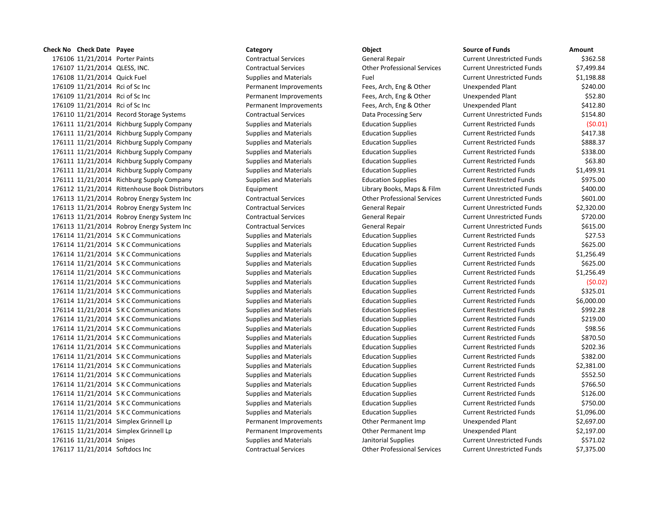**Check No Check Date Payee Category Category Object** 176106 11/21/2014 Porter Paints **Contractual Services** General Repair Contractual Services Contractual Services 176107 11/21/2014 QLESS, INC. Contractual Services Other Professional Services Current Unrestricted Funds \$7,499.84 176108 11/21/2014 Quick Fuel Supplies and Materials Fuel Current Current Current Current Current Current Current Current Current Current Current Current Current Current Current Current Current Current Current Current Curre 176109 11/21/2014 Rci of Sc Inc **Permanent Improvements** Fees, Arch, Eng & Other Engineers and Plant 320.00000000 176109 11/21/2014 Rci of Sc Inc **Permanent Improvements** Fees, Arch, Eng & Other Fees, Arch, Eng & Other 176109 11/21/2014 Rci of Sc Inc **Permanent Improvements** Fees, Arch, Eng & Other Fees, Arch, Eng & Other 176110 11/21/2014 Record Storage Systems Contractual Services Data Processing Serv 176111 11/21/2014 Richburg Supply Company Supplies and Materials Education Supplies 176111 11/21/2014 Richburg Supply Company Supplies and Materials Education Supplies 176111 11/21/2014 Richburg Supply Company Supplies and Materials Education Supplies 176111 11/21/2014 Richburg Supply Company Supplies and Materials Education Supplies 176111 11/21/2014 Richburg Supply Company Supplies and Materials Education Supplies 176111 11/21/2014 Richburg Supply Company Supplies and Materials Education Supplies 176111 11/21/2014 Richburg Supply Company Supplies and Materials Education Supplies 176112 11/21/2014 Rittenhouse Book Distributors Equipment Equipment Library Books, Maps & Film 176113 11/21/2014 Robroy Energy System Inc Contractual Services Current Current Other Professional Services 176113 11/21/2014 Robroy Energy System Inc Contractual Services General Repair 176113 11/21/2014 Robroy Energy System Inc Contractual Services General Repair 176113 11/21/2014 Robroy Energy System Inc Contractual Services General Repair 176114 11/21/2014 S K C Communications Supplies and Materials Education Supplies 176114 11/21/2014 S K C Communications Supplies and Materials Education Supplies 176114 11/21/2014 S K C Communications Supplies and Materials Education Supplies 176114 11/21/2014 S K C Communications Supplies and Materials Education Supplies 176114 11/21/2014 S K C Communications Supplies and Materials Education Supplies 176114 11/21/2014 S K C Communications Supplies and Materials Education Supplies 176114 11/21/2014 S K C Communications Supplies and Materials Education Supplies 176114 11/21/2014 S K C Communications Supplies and Materials Education Supplies 176114 11/21/2014 S K C Communications Supplies and Materials Education Supplies 176114 11/21/2014 S K C Communications Supplies and Materials Education Supplies 176114 11/21/2014 S K C Communications Supplies and Materials Education Supplies 176114 11/21/2014 S K C Communications Supplies and Materials Education Supplies 176114 11/21/2014 S K C Communications Supplies and Materials Education Supplies 176114 11/21/2014 S K C Communications Supplies and Materials Education Supplies 176114 11/21/2014 S K C Communications Supplies and Materials Education Supplies 176114 11/21/2014 S K C Communications Supplies and Materials Education Supplies 176114 11/21/2014 S K C Communications Supplies and Materials Education Supplies 176114 11/21/2014 S K C Communications Supplies and Materials Education Supplies 176114 11/21/2014 S K C Communications Supplies and Materials Education Supplies 176114 11/21/2014 S K C Communications Supplies and Materials Education Supplies 176115 11/21/2014 Simplex Grinnell Lp **Permanent Improvements** Other Permanent Imp 176115 11/21/2014 Simplex Grinnell Lp **Permanent Improvements** Other Permanent Imp 176116 11/21/2014 Snipes Supplies and Materials Janitorial Supplies and Trumper Current Unrestricted Funds & T 176117 11/21/2014 Softdocs Inc Contractual Services Other Professional Services Current Unrestricted Funds \$7,375.000

| Source of Funds                   | Amount     |
|-----------------------------------|------------|
| <b>Current Unrestricted Funds</b> | \$362.58   |
| <b>Current Unrestricted Funds</b> | \$7,499.84 |
| <b>Current Unrestricted Funds</b> | \$1,198.88 |
| <b>Unexpended Plant</b>           | \$240.00   |
| <b>Unexpended Plant</b>           | \$52.80    |
| <b>Unexpended Plant</b>           | \$412.80   |
| <b>Current Unrestricted Funds</b> | \$154.80   |
| <b>Current Restricted Funds</b>   | (50.01)    |
| <b>Current Restricted Funds</b>   | \$417.38   |
| <b>Current Restricted Funds</b>   | \$888.37   |
| <b>Current Restricted Funds</b>   | \$338.00   |
| <b>Current Restricted Funds</b>   | \$63.80    |
| <b>Current Restricted Funds</b>   | \$1,499.91 |
| <b>Current Restricted Funds</b>   | \$975.00   |
| <b>Current Unrestricted Funds</b> | \$400.00   |
| <b>Current Unrestricted Funds</b> | \$601.00   |
| <b>Current Unrestricted Funds</b> | \$2,320.00 |
| <b>Current Unrestricted Funds</b> | \$720.00   |
| <b>Current Unrestricted Funds</b> | \$615.00   |
| <b>Current Restricted Funds</b>   | \$27.53    |
| <b>Current Restricted Funds</b>   | \$625.00   |
| <b>Current Restricted Funds</b>   | \$1,256.49 |
| <b>Current Restricted Funds</b>   | \$625.00   |
| <b>Current Restricted Funds</b>   | \$1,256.49 |
| <b>Current Restricted Funds</b>   | (50.02)    |
| <b>Current Restricted Funds</b>   | \$325.01   |
| <b>Current Restricted Funds</b>   | \$6,000.00 |
| <b>Current Restricted Funds</b>   | \$992.28   |
| <b>Current Restricted Funds</b>   | \$219.00   |
| <b>Current Restricted Funds</b>   | \$98.56    |
| <b>Current Restricted Funds</b>   | \$870.50   |
| <b>Current Restricted Funds</b>   | \$202.36   |
| <b>Current Restricted Funds</b>   | \$382.00   |
| <b>Current Restricted Funds</b>   | \$2,381.00 |
| <b>Current Restricted Funds</b>   | \$552.50   |
| <b>Current Restricted Funds</b>   | \$766.50   |
| <b>Current Restricted Funds</b>   | \$126.00   |
| <b>Current Restricted Funds</b>   | \$750.00   |
| <b>Current Restricted Funds</b>   | \$1,096.00 |
| <b>Unexpended Plant</b>           | \$2,697.00 |
| <b>Unexpended Plant</b>           | \$2,197.00 |
| <b>Current Unrestricted Funds</b> | \$571.02   |
| <b>Current Unrestricted Funds</b> | \$7,375.00 |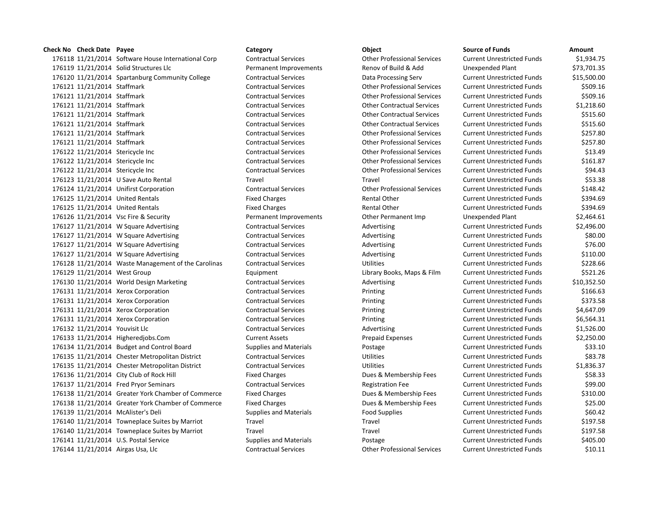11/21/2014 Software House International Corp Contractual Services Other Professional Services Current Unrestricted Funds \$1,934.75 11/21/2014 Solid Structures Llc Permanent Improvements Renov of Build & Add Unexpended Plant \$73,701.35 11/21/2014 Spartanburg Community College Contractual Services Data Processing Serv Current Unrestricted Funds \$15,500.00 11/21/2014 Staffmark Contractual Services Other Professional Services Current Unrestricted Funds \$509.16 11/21/2014 Staffmark Contractual Services Other Professional Services Current Unrestricted Funds \$509.16 11/21/2014 Staffmark Contractual Services Other Contractual Services Current Unrestricted Funds \$1,218.60 11/21/2014 Staffmark Contractual Services Other Contractual Services Current Unrestricted Funds \$515.60 11/21/2014 Staffmark Contractual Services Other Contractual Services Current Unrestricted Funds \$515.60 11/21/2014 Staffmark Contractual Services Other Professional Services Current Unrestricted Funds \$257.80 11/21/2014 Staffmark Contractual Services Other Professional Services Current Unrestricted Funds \$257.80 11/21/2014 Stericycle Inc Contractual Services Other Professional Services Current Unrestricted Funds \$13.49 11/21/2014 Stericycle Inc Contractual Services Other Professional Services Current Unrestricted Funds \$161.87 11/21/2014 Stericycle Inc Contractual Services Other Professional Services Current Unrestricted Funds \$94.43 11/21/2014 U Save Auto Rental Travel Travel Current Unrestricted Funds \$53.38 11/21/2014 Unifirst Corporation Contractual Services Other Professional Services Current Unrestricted Funds \$148.42 176125 11/21/2014 United Rentals **Fixed Charges** Fixed Charges Rental Other Current Unrestricted Funds \$394.69 176125 11/21/2014 United Rentals **Fixed Charges** Fixed Charges Rental Other Current Unrestricted Funds \$394.69 11/21/2014 Vsc Fire & Security Permanent Improvements Other Permanent Imp Unexpended Plant \$2,464.61 11/21/2014 W Square Advertising Contractual Services Advertising Current Unrestricted Funds \$2,496.00 11/21/2014 W Square Advertising Contractual Services Advertising Current Unrestricted Funds \$80.00 11/21/2014 W Square Advertising Contractual Services Advertising Current Unrestricted Funds \$76.00 11/21/2014 W Square Advertising Contractual Services Advertising Current Unrestricted Funds \$110.00 11/21/2014 Waste Management of the Carolinas Contractual Services Utilities Current Unrestricted Funds \$228.66 11/21/2014 West Group Equipment Library Books, Maps & Film Current Unrestricted Funds \$521.26 11/21/2014 World Design Marketing Contractual Services Advertising Current Unrestricted Funds \$10,352.50 11/21/2014 Xerox Corporation Contractual Services Printing Current Unrestricted Funds \$166.63 11/21/2014 Xerox Corporation Contractual Services Printing Current Unrestricted Funds \$373.58 11/21/2014 Xerox Corporation Contractual Services Printing Current Unrestricted Funds \$4,647.09 11/21/2014 Xerox Corporation Contractual Services Printing Current Unrestricted Funds \$6,564.31 11/21/2014 Youvisit Llc Contractual Services Advertising Current Unrestricted Funds \$1,526.00 11/21/2014 Higheredjobs.Com Current Assets Prepaid Expenses Current Unrestricted Funds \$2,250.00 176134 11/21/2014 Budget and Control Board Supplies and Materials Postage Current Unrestricted Funds \$33.10 11/21/2014 Chester Metropolitan District Contractual Services Utilities Current Unrestricted Funds \$83.78 11/21/2014 Chester Metropolitan District Contractual Services Utilities Current Unrestricted Funds \$1,836.37 176136 11/21/2014 City Club of Rock Hill Fixed Charges Fixed Charges Dues & Membership Fees Current Unrestricted Funds \$58.33 11/21/2014 Fred Pryor Seminars Contractual Services Registration Fee Current Unrestricted Funds \$99.00 11/21/2014 Greater York Chamber of Commerce Fixed Charges Dues & Membership Fees Current Unrestricted Funds \$310.00 11/21/2014 Greater York Chamber of Commerce Fixed Charges Dues & Membership Fees Current Unrestricted Funds \$25.00 11/21/2014 McAlister's Deli Supplies and Materials Food Supplies Current Unrestricted Funds \$60.42 176140 11/21/2014 Towneplace Suites by Marriot Travel Travel Travel Travel Travel Current Unrestricted Funds \$197.58 176140 11/21/2014 Towneplace Suites by Marriot Travel Travel Travel Travel Current Unrestricted Funds \$197.58 176141 11/21/2014 U.S. Postal Service Supplies and Materials Postage Current Unrestricted Funds \$405.00 11/21/2014 Airgas Usa, Llc Contractual Services Other Professional Services Current Unrestricted Funds \$10.11

**Check No Check Date Payee Category Object Source of Funds Amount**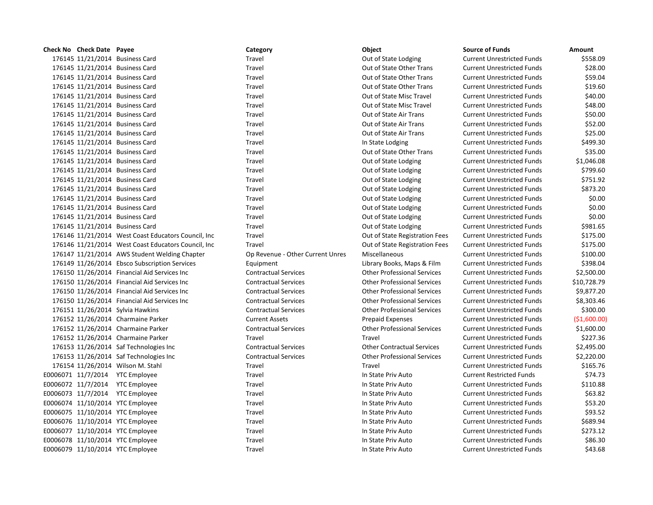| Check No Check Date Payee         |                                                     | Category                         | Object                             | <b>Source of Funds</b>            | Amount       |
|-----------------------------------|-----------------------------------------------------|----------------------------------|------------------------------------|-----------------------------------|--------------|
| 176145 11/21/2014 Business Card   |                                                     | Travel                           | Out of State Lodging               | <b>Current Unrestricted Funds</b> | \$558.09     |
| 176145 11/21/2014 Business Card   |                                                     | Travel                           | Out of State Other Trans           | <b>Current Unrestricted Funds</b> | \$28.00      |
| 176145 11/21/2014 Business Card   |                                                     | Travel                           | Out of State Other Trans           | <b>Current Unrestricted Funds</b> | \$59.04      |
| 176145 11/21/2014 Business Card   |                                                     | Travel                           | Out of State Other Trans           | <b>Current Unrestricted Funds</b> | \$19.60      |
| 176145 11/21/2014 Business Card   |                                                     | Travel                           | Out of State Misc Travel           | <b>Current Unrestricted Funds</b> | \$40.00      |
| 176145 11/21/2014 Business Card   |                                                     | Travel                           | Out of State Misc Travel           | <b>Current Unrestricted Funds</b> | \$48.00      |
| 176145 11/21/2014 Business Card   |                                                     | Travel                           | Out of State Air Trans             | <b>Current Unrestricted Funds</b> | \$50.00      |
| 176145 11/21/2014 Business Card   |                                                     | Travel                           | Out of State Air Trans             | <b>Current Unrestricted Funds</b> | \$52.00      |
| 176145 11/21/2014 Business Card   |                                                     | Travel                           | Out of State Air Trans             | <b>Current Unrestricted Funds</b> | \$25.00      |
| 176145 11/21/2014 Business Card   |                                                     | Travel                           | In State Lodging                   | <b>Current Unrestricted Funds</b> | \$499.30     |
| 176145 11/21/2014 Business Card   |                                                     | Travel                           | Out of State Other Trans           | <b>Current Unrestricted Funds</b> | \$35.00      |
| 176145 11/21/2014 Business Card   |                                                     | Travel                           | Out of State Lodging               | <b>Current Unrestricted Funds</b> | \$1,046.08   |
| 176145 11/21/2014 Business Card   |                                                     | Travel                           | Out of State Lodging               | <b>Current Unrestricted Funds</b> | \$799.60     |
| 176145 11/21/2014 Business Card   |                                                     | Travel                           | Out of State Lodging               | <b>Current Unrestricted Funds</b> | \$751.92     |
| 176145 11/21/2014 Business Card   |                                                     | Travel                           | Out of State Lodging               | <b>Current Unrestricted Funds</b> | \$873.20     |
| 176145 11/21/2014 Business Card   |                                                     | Travel                           | Out of State Lodging               | <b>Current Unrestricted Funds</b> | \$0.00       |
| 176145 11/21/2014 Business Card   |                                                     | Travel                           | Out of State Lodging               | <b>Current Unrestricted Funds</b> | \$0.00       |
| 176145 11/21/2014 Business Card   |                                                     | Travel                           | Out of State Lodging               | <b>Current Unrestricted Funds</b> | \$0.00       |
| 176145 11/21/2014 Business Card   |                                                     | Travel                           | Out of State Lodging               | <b>Current Unrestricted Funds</b> | \$981.65     |
|                                   | 176146 11/21/2014 West Coast Educators Council, Inc | Travel                           | Out of State Registration Fees     | <b>Current Unrestricted Funds</b> | \$175.00     |
|                                   | 176146 11/21/2014 West Coast Educators Council, Inc | Travel                           | Out of State Registration Fees     | <b>Current Unrestricted Funds</b> | \$175.00     |
|                                   | 176147 11/21/2014 AWS Student Welding Chapter       | Op Revenue - Other Current Unres | Miscellaneous                      | <b>Current Unrestricted Funds</b> | \$100.00     |
|                                   | 176149 11/26/2014 Ebsco Subscription Services       | Equipment                        | Library Books, Maps & Film         | <b>Current Unrestricted Funds</b> | \$398.04     |
|                                   | 176150 11/26/2014 Financial Aid Services Inc        | <b>Contractual Services</b>      | <b>Other Professional Services</b> | <b>Current Unrestricted Funds</b> | \$2,500.00   |
|                                   | 176150 11/26/2014 Financial Aid Services Inc        | <b>Contractual Services</b>      | <b>Other Professional Services</b> | <b>Current Unrestricted Funds</b> | \$10,728.79  |
|                                   | 176150 11/26/2014 Financial Aid Services Inc        | <b>Contractual Services</b>      | <b>Other Professional Services</b> | <b>Current Unrestricted Funds</b> | \$9,877.20   |
|                                   | 176150 11/26/2014 Financial Aid Services Inc        | <b>Contractual Services</b>      | <b>Other Professional Services</b> | <b>Current Unrestricted Funds</b> | \$8,303.46   |
| 176151 11/26/2014 Sylvia Hawkins  |                                                     | <b>Contractual Services</b>      | <b>Other Professional Services</b> | <b>Current Unrestricted Funds</b> | \$300.00     |
|                                   | 176152 11/26/2014 Charmaine Parker                  | <b>Current Assets</b>            | <b>Prepaid Expenses</b>            | <b>Current Unrestricted Funds</b> | (\$1,600.00) |
|                                   | 176152 11/26/2014 Charmaine Parker                  | <b>Contractual Services</b>      | <b>Other Professional Services</b> | <b>Current Unrestricted Funds</b> | \$1,600.00   |
|                                   | 176152 11/26/2014 Charmaine Parker                  | Travel                           | Travel                             | <b>Current Unrestricted Funds</b> | \$227.36     |
|                                   | 176153 11/26/2014 Saf Technologies Inc              | <b>Contractual Services</b>      | <b>Other Contractual Services</b>  | <b>Current Unrestricted Funds</b> | \$2,495.00   |
|                                   | 176153 11/26/2014 Saf Technologies Inc              | <b>Contractual Services</b>      | <b>Other Professional Services</b> | <b>Current Unrestricted Funds</b> | \$2,220.00   |
| 176154 11/26/2014 Wilson M. Stahl |                                                     | Travel                           | Travel                             | <b>Current Unrestricted Funds</b> | \$165.76     |
| E0006071 11/7/2014 YTC Employee   |                                                     | Travel                           | In State Priv Auto                 | <b>Current Restricted Funds</b>   | \$74.73      |
| E0006072 11/7/2014 YTC Employee   |                                                     | Travel                           | In State Priv Auto                 | <b>Current Unrestricted Funds</b> | \$110.88     |
| E0006073 11/7/2014 YTC Employee   |                                                     | Travel                           | In State Priv Auto                 | <b>Current Unrestricted Funds</b> | \$63.82      |
| E0006074 11/10/2014 YTC Employee  |                                                     | Travel                           | In State Priv Auto                 | <b>Current Unrestricted Funds</b> | \$53.20      |
| E0006075 11/10/2014 YTC Employee  |                                                     | Travel                           | In State Priv Auto                 | <b>Current Unrestricted Funds</b> | \$93.52      |
| E0006076 11/10/2014 YTC Employee  |                                                     | Travel                           | In State Priv Auto                 | <b>Current Unrestricted Funds</b> | \$689.94     |
| E0006077 11/10/2014 YTC Employee  |                                                     | Travel                           | In State Priv Auto                 | <b>Current Unrestricted Funds</b> | \$273.12     |
| E0006078 11/10/2014 YTC Employee  |                                                     | Travel                           | In State Priv Auto                 | <b>Current Unrestricted Funds</b> | \$86.30      |
| E0006079 11/10/2014 YTC Employee  |                                                     | Travel                           | In State Priv Auto                 | <b>Current Unrestricted Funds</b> | \$43.68      |